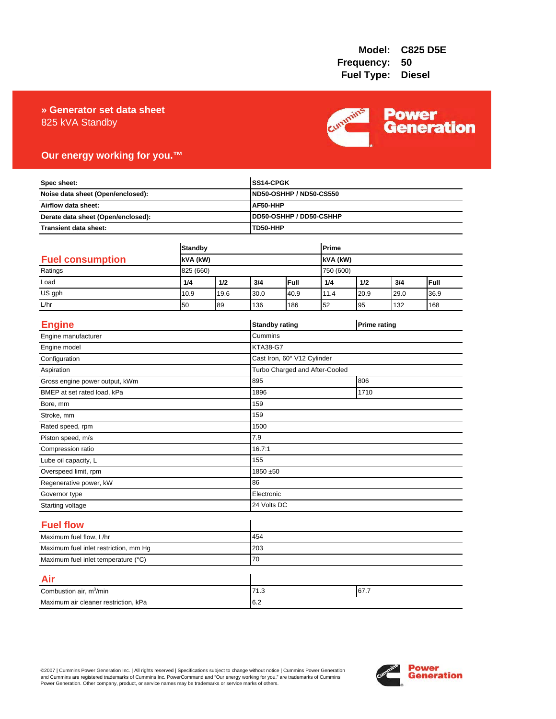### 825 kVA Standby **» Generator set data sheet**



### **Our energy working for you.™**

| Spec sheet:<br>Noise data sheet (Open/enclosed):<br>Airflow data sheet:<br>Derate data sheet (Open/enclosed): |                       |          | SS14-CPGK             |                                            |           |      |                     |      |  |
|---------------------------------------------------------------------------------------------------------------|-----------------------|----------|-----------------------|--------------------------------------------|-----------|------|---------------------|------|--|
|                                                                                                               |                       |          |                       | <b>ND50-OSHHP / ND50-CS550</b><br>AF50-HHP |           |      |                     |      |  |
|                                                                                                               |                       |          |                       |                                            |           |      |                     |      |  |
|                                                                                                               |                       |          |                       | DD50-OSHHP / DD50-CSHHP                    |           |      |                     |      |  |
| Transient data sheet:                                                                                         |                       | TD50-HHP |                       |                                            |           |      |                     |      |  |
|                                                                                                               | <b>Standby</b>        |          |                       |                                            | Prime     |      |                     |      |  |
| <b>Fuel consumption</b>                                                                                       |                       |          |                       | kVA (kW)                                   |           |      |                     |      |  |
| Ratings                                                                                                       | kVA (kW)<br>825 (660) |          |                       |                                            | 750 (600) |      |                     |      |  |
| Load                                                                                                          | 1/4                   | 1/2      | 3/4                   | Full                                       | 1/4       | 1/2  | 3/4                 | Full |  |
| US gph                                                                                                        | 10.9                  | 19.6     | 30.0                  | 40.9                                       | 11.4      | 20.9 | 29.0                | 36.9 |  |
| L/hr                                                                                                          | 50                    | 89       | 136                   | 186                                        | 52        | 95   | 132                 | 168  |  |
|                                                                                                               |                       |          |                       |                                            |           |      |                     |      |  |
| <b>Engine</b>                                                                                                 |                       |          | <b>Standby rating</b> |                                            |           |      | <b>Prime rating</b> |      |  |
| Engine manufacturer                                                                                           |                       |          | Cummins               |                                            |           |      |                     |      |  |
| Engine model                                                                                                  |                       |          | <b>KTA38-G7</b>       |                                            |           |      |                     |      |  |
| Configuration                                                                                                 |                       |          |                       | Cast Iron, 60° V12 Cylinder                |           |      |                     |      |  |
| Aspiration                                                                                                    |                       |          |                       | Turbo Charged and After-Cooled             |           |      |                     |      |  |
| Gross engine power output, kWm                                                                                |                       |          | 895                   | 806                                        |           |      |                     |      |  |
| BMEP at set rated load, kPa                                                                                   |                       |          | 1896                  | 1710                                       |           |      |                     |      |  |
| Bore, mm                                                                                                      |                       |          | 159                   |                                            |           |      |                     |      |  |
| Stroke, mm                                                                                                    |                       |          | 159                   |                                            |           |      |                     |      |  |
| Rated speed, rpm                                                                                              |                       |          | 1500                  |                                            |           |      |                     |      |  |
| Piston speed, m/s                                                                                             |                       |          | 7.9                   |                                            |           |      |                     |      |  |
| Compression ratio                                                                                             |                       |          | 16.7:1                |                                            |           |      |                     |      |  |
| Lube oil capacity, L                                                                                          |                       |          | 155                   |                                            |           |      |                     |      |  |
| Overspeed limit, rpm                                                                                          |                       |          | 1850 ±50              |                                            |           |      |                     |      |  |
| Regenerative power, kW                                                                                        |                       |          | 86                    |                                            |           |      |                     |      |  |
| Governor type                                                                                                 |                       |          |                       | Electronic                                 |           |      |                     |      |  |
| Starting voltage                                                                                              |                       |          | 24 Volts DC           |                                            |           |      |                     |      |  |
| <b>Fuel flow</b>                                                                                              |                       |          |                       |                                            |           |      |                     |      |  |
| Maximum fuel flow, L/hr                                                                                       |                       |          | 454                   |                                            |           |      |                     |      |  |
| Maximum fuel inlet restriction, mm Hg                                                                         |                       |          | 203                   |                                            |           |      |                     |      |  |
| Maximum fuel inlet temperature (°C)                                                                           |                       |          | 70                    |                                            |           |      |                     |      |  |
| Air                                                                                                           |                       |          |                       |                                            |           |      |                     |      |  |
| Combustion air, m <sup>3</sup> /min                                                                           |                       |          | 71.3<br>67.7          |                                            |           |      |                     |      |  |
| Maximum air cleaner restriction, kPa                                                                          |                       |          | 6.2                   |                                            |           |      |                     |      |  |

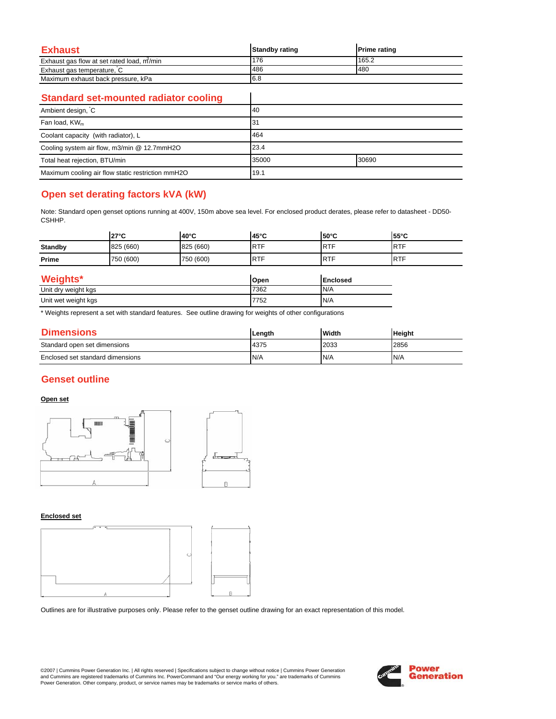| Exhaust                                   | <b>Standby rating</b> | <b>Prime rating</b> |
|-------------------------------------------|-----------------------|---------------------|
| Exhaust gas flow at set rated load, m/min | 176                   | 165.2               |
| Exhaust gas temperature, C                | 486                   | 480                 |
| Maximum exhaust back pressure, kPa        | 6.8                   |                     |

 $\overline{\phantom{a}}$ 

### **Standard set-mounted radiator cooling**

| Ambient design, C                                 | <b>40</b> |       |
|---------------------------------------------------|-----------|-------|
| Fan load, KW <sub>m</sub>                         | 31        |       |
| Coolant capacity (with radiator), L               | 464       |       |
| Cooling system air flow, m3/min @ 12.7mmH2O       | 23.4      |       |
| Total heat rejection, BTU/min                     | 35000     | 30690 |
| Maximum cooling air flow static restriction mmH2O | 19.1      |       |

# **Open set derating factors kVA (kW)**

Note: Standard open genset options running at 400V, 150m above sea level. For enclosed product derates, please refer to datasheet - DD50- CSHHP.

|                     | $27^{\circ}$ C | 40°C      | 45°C       | $50^{\circ}$ C  | 55°C       |  |
|---------------------|----------------|-----------|------------|-----------------|------------|--|
| <b>Standby</b>      | 825 (660)      | 825 (660) | <b>RTF</b> | <b>RTF</b>      | <b>RTF</b> |  |
| Prime               | 750 (600)      | 750 (600) | <b>RTF</b> | <b>RTF</b>      | <b>RTF</b> |  |
| <b>Weights*</b>     |                |           | Open       | <b>Enclosed</b> |            |  |
| Unit dry weight kgs |                |           | 7362       | N/A             |            |  |
| Unit wet weight kgs |                |           | 7752       | N/A             |            |  |

\* Weights represent a set with standard features. See outline drawing for weights of other configurations

| <b>Dimensions</b>                | Length | Width | <b>Height</b> |
|----------------------------------|--------|-------|---------------|
| Standard open set dimensions     | 4375   | 2033  | 2856          |
| Enclosed set standard dimensions | N/A    | N/A   | N/A           |

# **Genset outline**

### **Open set**



#### **Enclosed set**



Outlines are for illustrative purposes only. Please refer to the genset outline drawing for an exact representation of this model.

©2007 | Cummins Power Generation Inc. | All rights reserved | Specifications subject to change without notice | Cummins Power Generation and Cummins are registered trademarks of Cummins Inc. PowerCommand and "Our energy working for you." are trademarks of Cummins<br>Power Generation. Other company, product, or service names may be trademarks or service marks o